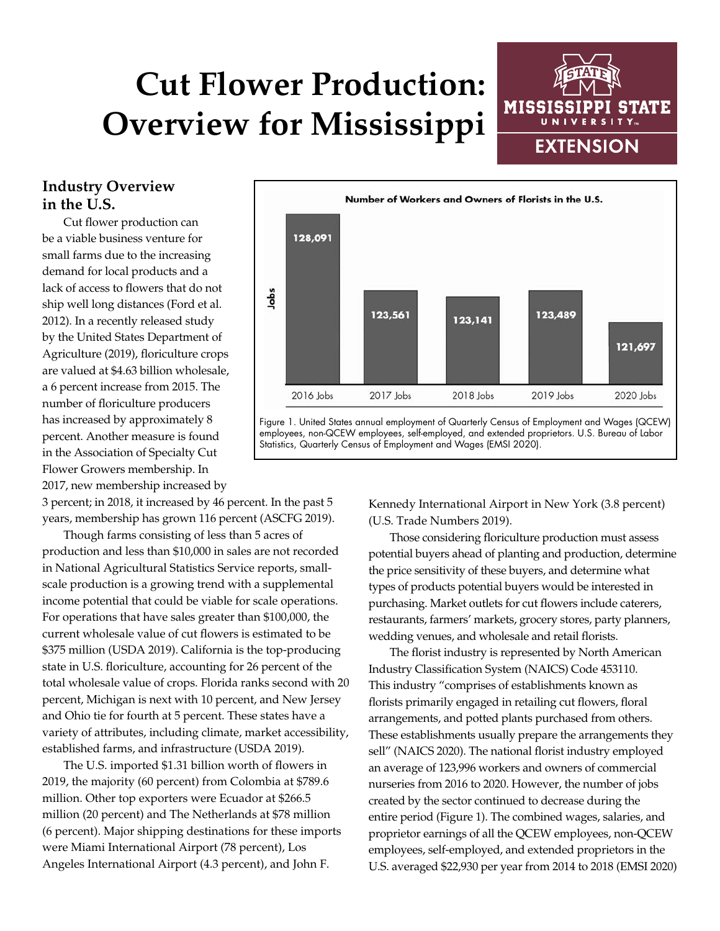# **Cut Flower Production: Overview for Mississippi**



### **Industry Overview in the U.S.**

Cut flower production can be a viable business venture for small farms due to the increasing demand for local products and a lack of access to flowers that do not ship well long distances (Ford et al. 2012). In a recently released study by the United States Department of Agriculture (2019), floriculture crops are valued at \$4.63 billion wholesale, a 6 percent increase from 2015. The number of floriculture producers has increased by approximately 8 percent. Another measure is found in the Association of Specialty Cut Flower Growers membership. In 2017, new membership increased by

3 percent; in 2018, it increased by 46 percent. In the past 5 years, membership has grown 116 percent (ASCFG 2019).

Though farms consisting of less than 5 acres of production and less than \$10,000 in sales are not recorded in National Agricultural Statistics Service reports, smallscale production is a growing trend with a supplemental income potential that could be viable for scale operations. For operations that have sales greater than \$100,000, the current wholesale value of cut flowers is estimated to be \$375 million (USDA 2019). California is the top-producing state in U.S. floriculture, accounting for 26 percent of the total wholesale value of crops. Florida ranks second with 20 percent, Michigan is next with 10 percent, and New Jersey and Ohio tie for fourth at 5 percent. These states have a variety of attributes, including climate, market accessibility, established farms, and infrastructure (USDA 2019).

The U.S. imported \$1.31 billion worth of flowers in 2019, the majority (60 percent) from Colombia at \$789.6 million. Other top exporters were Ecuador at \$266.5 million (20 percent) and The Netherlands at \$78 million (6 percent). Major shipping destinations for these imports were Miami International Airport (78 percent), Los Angeles International Airport (4.3 percent), and John F.



Figure 1. United States annual employment of Quarterly Census of Employment and Wages (QCEW) employees, non-QCEW employees, self-employed, and extended proprietors. U.S. Bureau of Labor Statistics, Quarterly Census of Employment and Wages (EMSI 2020).

> Kennedy International Airport in New York (3.8 percent) (U.S. Trade Numbers 2019).

Those considering floriculture production must assess potential buyers ahead of planting and production, determine the price sensitivity of these buyers, and determine what types of products potential buyers would be interested in purchasing. Market outlets for cut flowers include caterers, restaurants, farmers' markets, grocery stores, party planners, wedding venues, and wholesale and retail florists.

The florist industry is represented by North American Industry Classification System (NAICS) Code 453110. This industry "comprises of establishments known as florists primarily engaged in retailing cut flowers, floral arrangements, and potted plants purchased from others. These establishments usually prepare the arrangements they sell" (NAICS 2020). The national florist industry employed an average of 123,996 workers and owners of commercial nurseries from 2016 to 2020. However, the number of jobs created by the sector continued to decrease during the entire period (Figure 1). The combined wages, salaries, and proprietor earnings of all the QCEW employees, non-QCEW employees, self-employed, and extended proprietors in the U.S. averaged \$22,930 per year from 2014 to 2018 (EMSI 2020)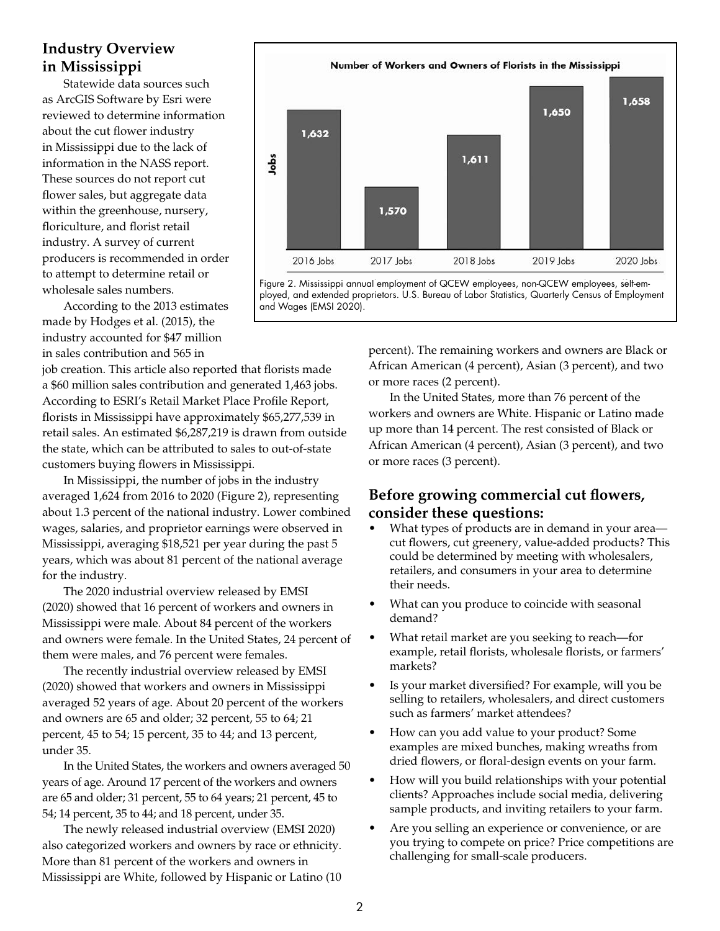## **Industry Overview in Mississippi**

Statewide data sources such as ArcGIS Software by Esri were reviewed to determine information about the cut flower industry in Mississippi due to the lack of information in the NASS report. These sources do not report cut flower sales, but aggregate data within the greenhouse, nursery, floriculture, and florist retail industry. A survey of current producers is recommended in order to attempt to determine retail or wholesale sales numbers.

According to the 2013 estimates made by Hodges et al. (2015), the industry accounted for \$47 million in sales contribution and 565 in

job creation. This article also reported that florists made a \$60 million sales contribution and generated 1,463 jobs. According to ESRI's Retail Market Place Profile Report, florists in Mississippi have approximately \$65,277,539 in retail sales. An estimated \$6,287,219 is drawn from outside the state, which can be attributed to sales to out-of-state customers buying flowers in Mississippi.

In Mississippi, the number of jobs in the industry averaged 1,624 from 2016 to 2020 (Figure 2), representing about 1.3 percent of the national industry. Lower combined wages, salaries, and proprietor earnings were observed in Mississippi, averaging \$18,521 per year during the past 5 years, which was about 81 percent of the national average for the industry.

The 2020 industrial overview released by EMSI (2020) showed that 16 percent of workers and owners in Mississippi were male. About 84 percent of the workers and owners were female. In the United States, 24 percent of them were males, and 76 percent were females.

The recently industrial overview released by EMSI (2020) showed that workers and owners in Mississippi averaged 52 years of age. About 20 percent of the workers and owners are 65 and older; 32 percent, 55 to 64; 21 percent, 45 to 54; 15 percent, 35 to 44; and 13 percent, under 35.

In the United States, the workers and owners averaged 50 years of age. Around 17 percent of the workers and owners are 65 and older; 31 percent, 55 to 64 years; 21 percent, 45 to 54; 14 percent, 35 to 44; and 18 percent, under 35.

The newly released industrial overview (EMSI 2020) also categorized workers and owners by race or ethnicity. More than 81 percent of the workers and owners in Mississippi are White, followed by Hispanic or Latino (10



Figure 2. Mississippi annual employment of QCEW employees, non-QCEW employees, self-employed, and extended proprietors. U.S. Bureau of Labor Statistics, Quarterly Census of Employment and Wages (EMSI 2020).

> percent). The remaining workers and owners are Black or African American (4 percent), Asian (3 percent), and two or more races (2 percent).

> In the United States, more than 76 percent of the workers and owners are White. Hispanic or Latino made up more than 14 percent. The rest consisted of Black or African American (4 percent), Asian (3 percent), and two or more races (3 percent).

## **Before growing commercial cut flowers, consider these questions:**

- What types of products are in demand in your area cut flowers, cut greenery, value-added products? This could be determined by meeting with wholesalers, retailers, and consumers in your area to determine their needs.
- What can you produce to coincide with seasonal demand?
- What retail market are you seeking to reach—for example, retail florists, wholesale florists, or farmers' markets?
- Is your market diversified? For example, will you be selling to retailers, wholesalers, and direct customers such as farmers' market attendees?
- How can you add value to your product? Some examples are mixed bunches, making wreaths from dried flowers, or floral-design events on your farm.
- How will you build relationships with your potential clients? Approaches include social media, delivering sample products, and inviting retailers to your farm.
- Are you selling an experience or convenience, or are you trying to compete on price? Price competitions are challenging for small-scale producers.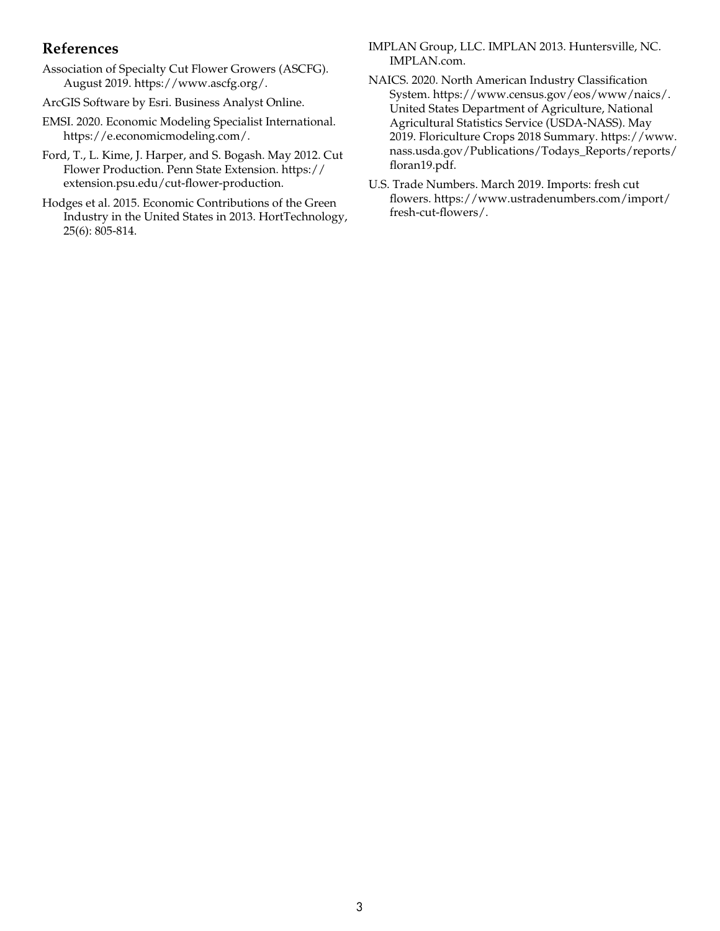#### **References**

- Association of Specialty Cut Flower Growers (ASCFG). August 2019. https://www.ascfg.org/.
- ArcGIS Software by Esri. Business Analyst Online.
- EMSI. 2020. Economic Modeling Specialist International. https://e.economicmodeling.com/.
- Ford, T., L. Kime, J. Harper, and S. Bogash. May 2012. Cut Flower Production. Penn State Extension. https:// extension.psu.edu/cut-flower-production.
- Hodges et al. 2015. Economic Contributions of the Green Industry in the United States in 2013. HortTechnology, 25(6): 805-814.
- IMPLAN Group, LLC. IMPLAN 2013. Huntersville, NC. IMPLAN.com.
- NAICS. 2020. North American Industry Classification System. https://www.census.gov/eos/www/naics/. United States Department of Agriculture, National Agricultural Statistics Service (USDA-NASS). May 2019. Floriculture Crops 2018 Summary. https://www. nass.usda.gov/Publications/Todays\_Reports/reports/ floran19.pdf.
- U.S. Trade Numbers. March 2019. Imports: fresh cut flowers. https://www.ustradenumbers.com/import/ fresh-cut-flowers/.